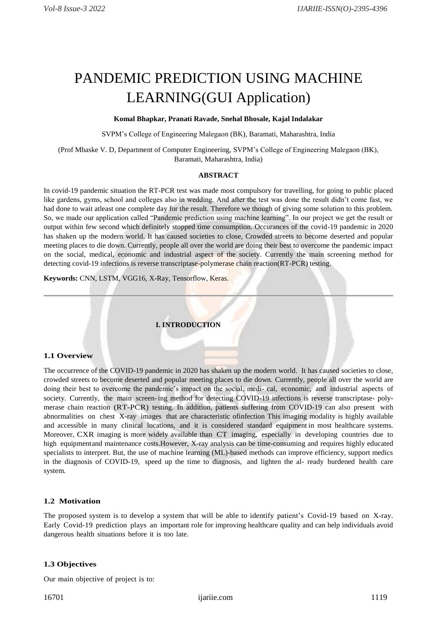# PANDEMIC PREDICTION USING MACHINE LEARNING(GUI Application)

## **Komal Bhapkar, Pranati Ravade, Snehal Bhosale, Kajal Indalakar**

SVPM's College of Engineering Malegaon (BK), Baramati, Maharashtra, India

(Prof Mhaske V. D, Department of Computer Engineering, SVPM's College of Engineering Malegaon (BK), Baramati, Maharashtra, India)

## **ABSTRACT**

In covid-19 pandemic situation the RT-PCR test was made most compulsory for travelling, for going to public placed like gardens, gyms, school and colleges also in wedding. And after the test was done the result didn't come fast, we had done to wait atleast one complete day for the result. Therefore we though of giving some solution to this problem. So, we made our application called "Pandemic prediction using machine learning". In our project we get the result or output within few second which definitely stopped time consumption. Occurances of the covid-19 pandemic in 2020 has shaken up the modern world. It has caused societies to close, Crowded streets to become deserted and popular meeting places to die down. Currently, people all over the world are doing their best to overcome the pandemic impact on the social, medical, economic and industrial aspect of the society. Currently the main screening method for detecting covid-19 infections is reverse transcriptase-polymerase chain reaction(RT-PCR) testing.

**Keywords:** CNN, LSTM, VGG16, X-Ray, Tensorflow, Keras.

# **I. INTRODUCTION**

#### **1.1 Overview**

The occurrence of the COVID-19 pandemic in 2020 has shaken up the modern world. It has caused societies to close, crowded streets to become deserted and popular meeting places to die down. Currently, people all over the world are doing their best to overcome the pandemic's impact on the social, medi- cal, economic, and industrial aspects of society. Currently, the main screen-ing method for detecting COVID-19 infections is reverse transcriptase- polymerase chain reaction (RT-PCR) testing. In addition, patients suffering from COVID-19 can also present with abnormalities on chest X-ray images that are characteristic ofinfection This imaging modality is highly available and accessible in many clinical locations, and it is considered standard equipment in most healthcare systems. Moreover, CXR imaging is more widely available than CT imaging, especially in developing countries due to high equipmentand maintenance costs.However, X-ray analysis can be time-consuming and requires highly educated specialists to interpret. But, the use of machine learning (ML)-based methods can improve efficiency, support medics in the diagnosis of COVID-19, speed up the time to diagnosis, and lighten the al- ready burdened health care system.

## **1.2 Motivation**

The proposed system is to develop a system that will be able to identify patient's Covid-19 based on X-ray. Early Covid-19 prediction plays an important role for improving healthcare quality and can help individuals avoid dangerous health situations before it is too late.

#### **1.3 Objectives**

Our main objective of project is to: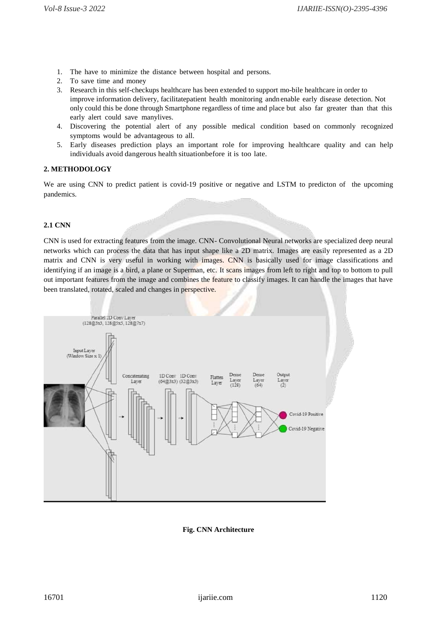- 1. The have to minimize the distance between hospital and persons.
- 2. To save time and money
- 3. Research in this self-checkups healthcare has been extended to support mo-bile healthcare in order to improve information delivery, facilitatepatient health monitoring andn enable early disease detection. Not only could this be done through Smartphone regardless of time and place but also far greater than that this early alert could save manylives.
- 4. Discovering the potential alert of any possible medical condition based on commonly recognized symptoms would be advantageous to all.
- 5. Early diseases prediction plays an important role for improving healthcare quality and can help individuals avoid dangerous health situationbefore it is too late.

## **2. METHODOLOGY**

We are using CNN to predict patient is covid-19 positive or negative and LSTM to predicton of the upcoming pandemics.

## **2.1 CNN**

CNN is used for extracting features from the image. CNN- Convolutional Neural networks are specialized deep neural networks which can process the data that has input shape like a 2D matrix. Images are easily represented as a 2D matrix and CNN is very useful in working with images. CNN is basically used for image classifications and identifying if an image is a bird, a plane or Superman, etc. It scans images from left to right and top to bottom to pull out important features from the image and combines the feature to classify images. It can handle the images that have been translated, rotated, scaled and changes in perspective.



## **Fig. CNN Architecture**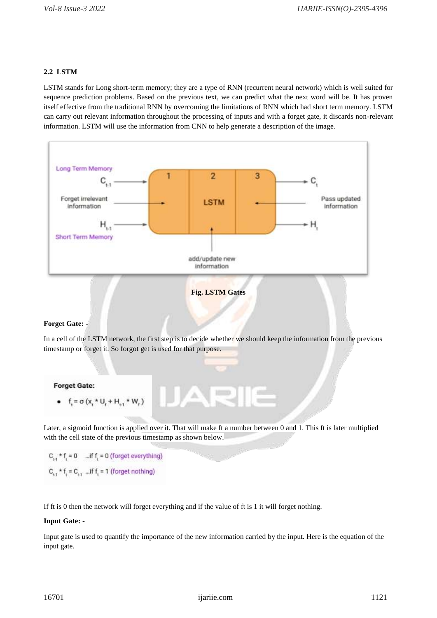# **2.2 LSTM**

LSTM stands for Long short-term memory; they are a type of RNN (recurrent neural network) which is well suited for sequence prediction problems. Based on the previous text, we can predict what the next word will be. It has proven itself effective from the traditional RNN by overcoming the limitations of RNN which had short term memory. LSTM can carry out relevant information throughout the processing of inputs and with a forget gate, it discards non-relevant information. LSTM will use the information from CNN to help generate a description of the image.



```
Fig. LSTM Gates
```
## **Forget Gate: -**

In a cell of the LSTM network, the first step is to decide whether we should keep the information from the previous timestamp or forget it. So forgot get is used for that purpose.

## **Forget Gate:**

•  $f_t = \sigma (x_t * U_t + H_{t-1} * W_t)$ 

Later, a sigmoid function is applied over it. That will make ft a number between 0 and 1. This ft is later multiplied with the cell state of the previous timestamp as shown below.

 $C_{1,1}$  \* f<sub>1</sub> = 0 ... if f<sub>1</sub> = 0 (forget everything)  $C_{i,1}$  \* f, =  $C_{i,1}$  ... if f, = 1 (forget nothing)

If ft is 0 then the network will forget everything and if the value of ft is 1 it will forget nothing.

#### **Input Gate: -**

Input gate is used to quantify the importance of the new information carried by the input. Here is the equation of the input gate.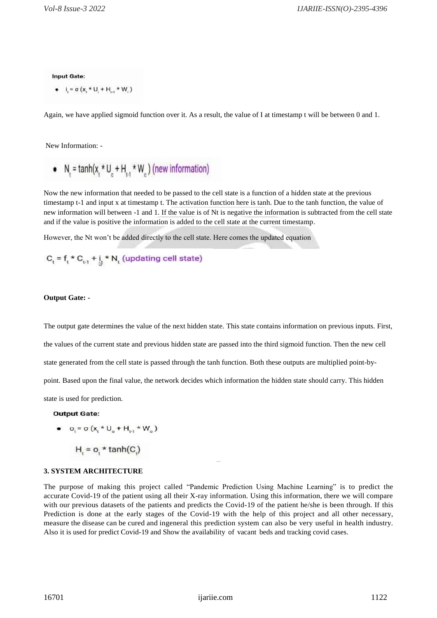#### **Input Gate:**

• 
$$
i_i = \sigma(x_i * U_i + H_{i+1} * W_i)
$$

Again, we have applied sigmoid function over it. As a result, the value of I at timestamp t will be between 0 and 1.

New Information: -

• N<sub>t</sub> = tanh(
$$
x_t * U_c + H_{t,t} * W_c
$$
) (new information)

Now the new information that needed to be passed to the cell state is a function of a hidden state at the previous timestamp t-1 and input x at timestamp t. The activation function here is tanh. Due to the tanh function, the value of new information will between -1 and 1. If the value is of Nt is negative the information is subtracted from the cell state and if the value is positive the information is added to the cell state at the current timestamp.

However, the Nt won't be added directly to the cell state. Here comes the updated equation

$$
C_t = f_t * C_{t,1} + i_t * N_t
$$
 (updating cell state)

#### **Output Gate: -**

The output gate determines the value of the next hidden state. This state contains information on previous inputs. First, the values of the current state and previous hidden state are passed into the third sigmoid function. Then the new cell state generated from the cell state is passed through the tanh function. Both these outputs are multiplied point-bypoint. Based upon the final value, the network decides which information the hidden state should carry. This hidden state is used for prediction.

#### **Output Gate:**

• 
$$
O_t = \sigma (x_t * U_o + H_{t-1} * W_o)
$$

$$
H = o, \star \tanh(C)
$$

#### **3. SYSTEM ARCHITECTURE**

The purpose of making this project called "Pandemic Prediction Using Machine Learning" is to predict the accurate Covid-19 of the patient using all their X-ray information. Using this information, there we will compare with our previous datasets of the patients and predicts the Covid-19 of the patient he/she is been through. If this Prediction is done at the early stages of the Covid-19 with the help of this project and all other necessary, measure the disease can be cured and ingeneral this prediction system can also be very useful in health industry. Also it is used for predict Covid-19 and Show the availability of vacant beds and tracking covid cases.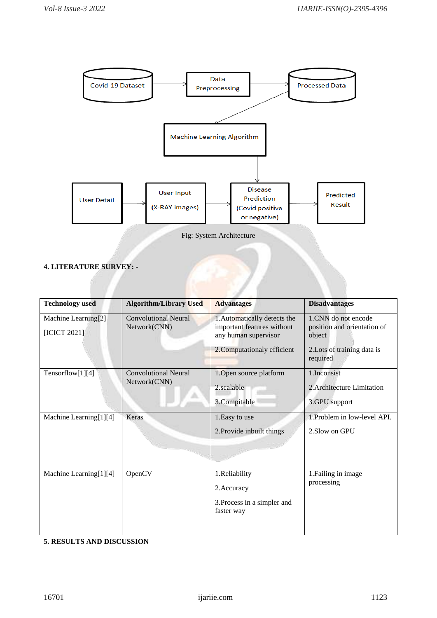

# **4. LITERATURE SURVEY: -**

| <b>Technology</b> used              | <b>Algorithm/Library Used</b>               | <b>Advantages</b>                                                                                                 | <b>Disadvantages</b>                                                                                    |
|-------------------------------------|---------------------------------------------|-------------------------------------------------------------------------------------------------------------------|---------------------------------------------------------------------------------------------------------|
| Machine Learning[2]<br>[ICICT 2021] | <b>Convolutional Neural</b><br>Network(CNN) | 1. Automatically detects the<br>important features without<br>any human supervisor<br>2. Computationaly efficient | 1.CNN do not encode<br>position and orientation of<br>object<br>2. Lots of training data is<br>required |
| Tensorflow[1][4]                    | <b>Convolutional Neural</b><br>Network(CNN) | 1. Open source platform<br>2.scalable<br>3.Compitable                                                             | 1.Inconsist<br>2. Architecture Limitation<br>3.GPU support                                              |
| Machine Learning[1][4]              | Keras                                       | 1. Easy to use<br>2. Provide inbuilt things                                                                       | 1. Problem in low-level API.<br>2. Slow on GPU                                                          |
| Machine Learning[1][4]              | OpenCV                                      | 1.Reliability<br>2. Accuracy<br>3. Process in a simpler and<br>faster way                                         | 1. Failing in image<br>processing                                                                       |

**5. RESULTS AND DISCUSSION**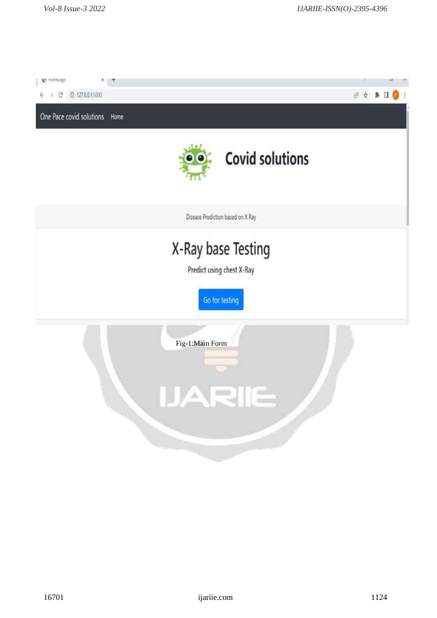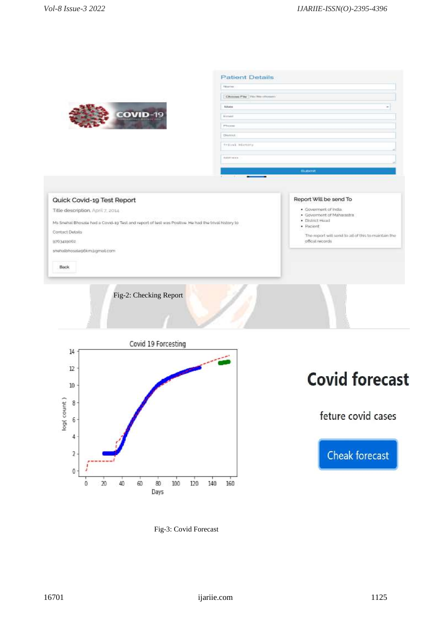

| Websiters                                |   |
|------------------------------------------|---|
| Choose Pay The We chosen                 |   |
| <b>LOOKING</b><br><b>Bulletin</b><br>min | ÷ |
| <b>Britished</b>                         |   |
| PROTEC                                   |   |
| Diving.                                  |   |
| trival History                           |   |
| <b>NAMES OF GROOM</b>                    |   |
|                                          |   |
| <b>Buteret</b>                           |   |

Report Will be send To

 $\bullet$  Pacient

official records

 $\begin{array}{ll} \bullet \ \ \text{Government of india} \\ \bullet \ \ \text{Government of Matrasata} \\ \bullet \ \ \text{Distinct} \ \text{Head} \end{array}$ 

The report will send to all of this to maintain the



Title description, April 7, 2014

Ms Snehal Bhosaie had a Covid-19 Test and report of test was Positive He had the trival history to

Contact Details

9763419002

snetalbhosalegókmágmal.com

Back

Fig-2: Checking Report



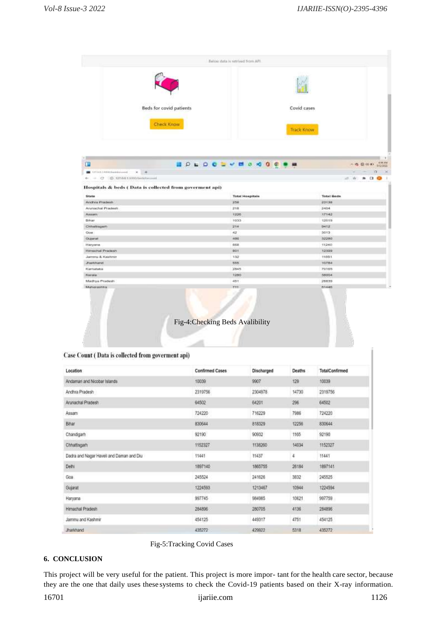|                                                              |                                                         |  | Below data is retrived from API. |                        |             |                   |                            |
|--------------------------------------------------------------|---------------------------------------------------------|--|----------------------------------|------------------------|-------------|-------------------|----------------------------|
|                                                              |                                                         |  |                                  |                        |             |                   |                            |
|                                                              | Beds for covid patients                                 |  |                                  |                        | Covid cases |                   |                            |
|                                                              | <b>Check Know</b>                                       |  |                                  |                        | Track Know  |                   |                            |
|                                                              |                                                         |  |                                  |                        |             |                   |                            |
| œ                                                            |                                                         |  |                                  |                        |             |                   |                            |
| $\blacksquare$ triansaction-element $X \equiv \blacklozenge$ |                                                         |  | <b>HOLDCSVMOSOOM</b>             |                        |             |                   |                            |
| $+ - C - 0.13784133001$ elements                             |                                                         |  |                                  |                        |             |                   | ボーキ                        |
| State                                                        | Hospitals & beds (Data is collected from governent api) |  |                                  | <b>Total Hospitale</b> |             | <b>Total Reds</b> |                            |
| <b>Andhra Pradesh</b>                                        |                                                         |  | 258                              |                        |             | $22 + 30$         |                            |
| Anmachal Pradesh                                             |                                                         |  | 218                              |                        |             | 2404              |                            |
| Assam                                                        |                                                         |  | 1226                             |                        |             | 17142             |                            |
| <b>Dittar</b>                                                |                                                         |  | 1033                             |                        |             | 12019             |                            |
| Chhettegetti                                                 |                                                         |  | 214                              |                        |             | 9412              |                            |
| Gos                                                          |                                                         |  | 42                               |                        |             | 3013              |                            |
| Clugarant:                                                   |                                                         |  | 486                              |                        |             | 32280             |                            |
| Haryana                                                      |                                                         |  | 668                              |                        |             | 11240             | 10 数 (4 %) 2 あ ^<br>$\ast$ |
| Hamashal Pradesh                                             |                                                         |  | 001                              |                        |             | 12309             |                            |
| Jammu & Kashmir                                              |                                                         |  | 132                              |                        |             | 11051             |                            |
| <b><i><u>Amentures</u></i></b><br>Kerristaka                 |                                                         |  | 105 <sub>1</sub><br>2845         |                        |             | 10784<br>70168    |                            |
| <b>Kerwa</b>                                                 |                                                         |  | 1250                             |                        |             | 38004             |                            |
| Mildbya Pradeshi                                             |                                                         |  | 45T                              |                        |             | 28839             |                            |

# Case Count (Data is collected from government api)

| Location                                 | <b>Confirmed Cases</b> | Discharged | Deaths | <b>TotalConfirmed</b> |
|------------------------------------------|------------------------|------------|--------|-----------------------|
| Andaman and Nicobar Islands              | 10039                  | 9907       | 129    | 10039                 |
| Andhra Pradesh                           | 2319756                | 2304978    | 14730  | 2319756               |
| Arunachal Pradesh                        | 64502                  | 64201      | 296    | 64502                 |
| Assam                                    | 724220                 | 716229     | 7986   | 724220                |
| Bihar                                    | 830644                 | 818329     | 12256  | 830644                |
| Chandigarh                               | 92190                  | 90932      | 1165   | 92190                 |
| Chhattisgarh                             | 1152327                | 1138260    | 14034  | 1152327               |
| Dadra and Nagar Havell and Daman and Diu | 11441                  | 11437      | 4      | 11441                 |
| Del'il                                   | 1897140                | 1866755    | 26184  | 1897141               |
| Goa                                      | 245524                 | 241626     | 3832   | 245525                |
| Gujarat                                  | 1224593                | 1213467    | 10944  | 1224594               |
| Haryana                                  | 997745                 | 984985     | 10621  | 997759                |
| Himachal Pradesh                         | 284896                 | 280705     | 4136   | 284896                |
| Jammu and Kashmir                        | 454125                 | 449317     | 4751   | 454125                |
| <b>Jharkhand</b>                         | 435272                 | 429922     | 5318   | 435272                |

# Fig-5:Tracking Covid Cases

# **6. CONCLUSION**

This project will be very useful for the patient. This project is more impor- tant for the health care sector, because they are the one that daily uses these systems to check the Covid-19 patients based on their X-ray information.